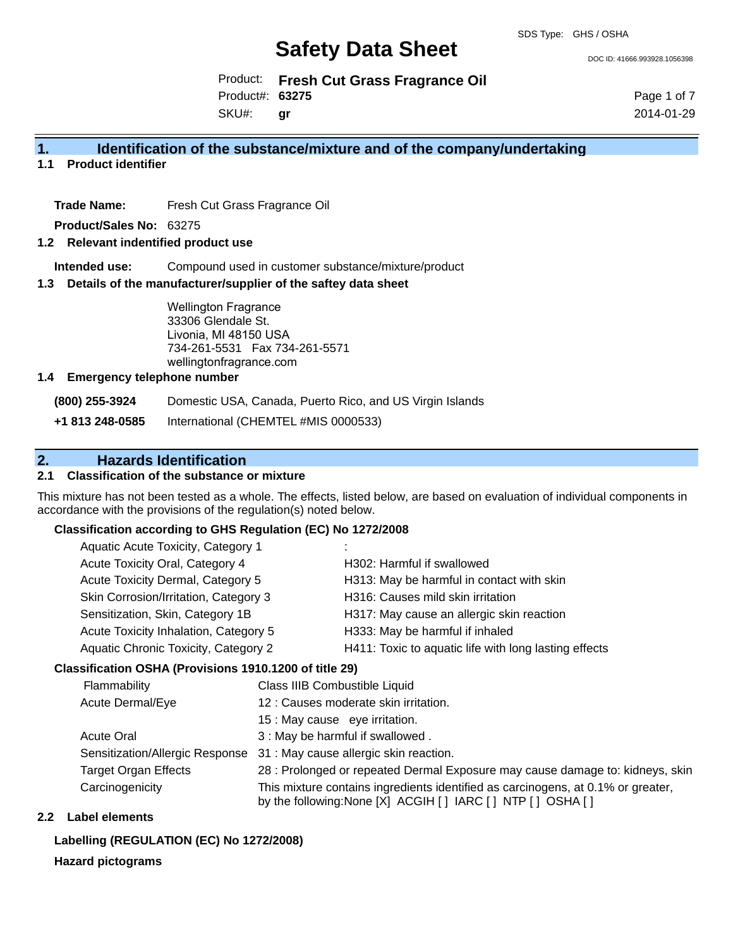DOC ID: 41666.993928.1056398

Product: **Fresh Cut Grass Fragrance Oil** SKU#: Product#: **63275 gr**

Page 1 of 7 2014-01-29

### **1. Identification of the substance/mixture and of the company/undertaking**

### **1.1 Product identifier**

**Trade Name:** Fresh Cut Grass Fragrance Oil

**Product/Sales No:** 63275

### **1.2 Relevant indentified product use**

**Intended use:** Compound used in customer substance/mixture/product

### **1.3 Details of the manufacturer/supplier of the saftey data sheet**

Wellington Fragrance 33306 Glendale St. Livonia, MI 48150 USA 734-261-5531 Fax 734-261-5571 wellingtonfragrance.com

### **1.4 Emergency telephone number**

**(800) 255-3924** Domestic USA, Canada, Puerto Rico, and US Virgin Islands

**+1 813 248-0585** International (CHEMTEL #MIS 0000533)

## **2. Hazards Identification**

### **2.1 Classification of the substance or mixture**

This mixture has not been tested as a whole. The effects, listed below, are based on evaluation of individual components in accordance with the provisions of the regulation(s) noted below.

### **Classification according to GHS Regulation (EC) No 1272/2008**

| Aquatic Acute Toxicity, Category 1    |                                                       |
|---------------------------------------|-------------------------------------------------------|
| Acute Toxicity Oral, Category 4       | H302: Harmful if swallowed                            |
| Acute Toxicity Dermal, Category 5     | H313: May be harmful in contact with skin             |
| Skin Corrosion/Irritation, Category 3 | H316: Causes mild skin irritation                     |
| Sensitization, Skin, Category 1B      | H317: May cause an allergic skin reaction             |
| Acute Toxicity Inhalation, Category 5 | H333: May be harmful if inhaled                       |
| Aquatic Chronic Toxicity, Category 2  | H411: Toxic to aquatic life with long lasting effects |
|                                       |                                                       |

### **Classification OSHA (Provisions 1910.1200 of title 29)**

| Flammability                    | Class IIIB Combustible Liquid                                                                                                                      |
|---------------------------------|----------------------------------------------------------------------------------------------------------------------------------------------------|
| Acute Dermal/Eye                | 12 : Causes moderate skin irritation.                                                                                                              |
|                                 | 15 : May cause eye irritation.                                                                                                                     |
| <b>Acute Oral</b>               | 3 : May be harmful if swallowed.                                                                                                                   |
| Sensitization/Allergic Response | 31 : May cause allergic skin reaction.                                                                                                             |
| <b>Target Organ Effects</b>     | 28 : Prolonged or repeated Dermal Exposure may cause damage to: kidneys, skin                                                                      |
| Carcinogenicity                 | This mixture contains ingredients identified as carcinogens, at 0.1% or greater,<br>by the following: None [X] ACGIH [ ] IARC [ ] NTP [ ] OSHA [ ] |

### **2.2 Label elements**

#### **Labelling (REGULATION (EC) No 1272/2008)**

### **Hazard pictograms**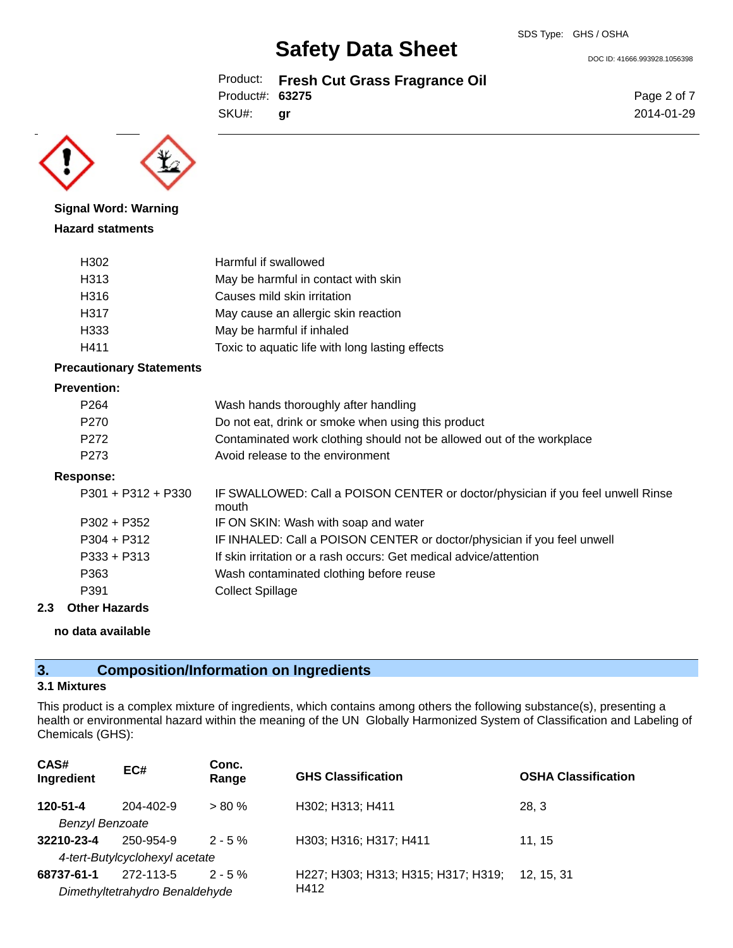Product: **Fresh Cut Grass Fragrance Oil** Product#: **63275**

SKU#: **gr**



**Signal Word: Warning Hazard statments**

| H302 | Harmful if swallowed                            |
|------|-------------------------------------------------|
| H313 | May be harmful in contact with skin             |
| H316 | Causes mild skin irritation                     |
| H317 | May cause an allergic skin reaction             |
| H333 | May be harmful if inhaled                       |
| H411 | Toxic to aquatic life with long lasting effects |

### **Precautionary Statements**

### **Prevention:**

| P <sub>264</sub>     | Wash hands thoroughly after handling                                                     |
|----------------------|------------------------------------------------------------------------------------------|
| P <sub>270</sub>     | Do not eat, drink or smoke when using this product                                       |
| P <sub>272</sub>     | Contaminated work clothing should not be allowed out of the workplace                    |
| P <sub>273</sub>     | Avoid release to the environment                                                         |
| Response:            |                                                                                          |
| $P301 + P312 + P330$ | IF SWALLOWED: Call a POISON CENTER or doctor/physician if you feel unwell Rinse<br>mouth |
| P302 + P352          | IF ON SKIN: Wash with soap and water                                                     |
| $P304 + P312$        | IF INHALED: Call a POISON CENTER or doctor/physician if you feel unwell                  |
| $P333 + P313$        | If skin irritation or a rash occurs: Get medical advice/attention                        |
| P363                 | Wash contaminated clothing before reuse                                                  |
| P391                 | <b>Collect Spillage</b>                                                                  |
|                      |                                                                                          |

### **2.3 Other Hazards**

### **no data available**

### **3. Composition/Information on Ingredients**

### **3.1 Mixtures**

This product is a complex mixture of ingredients, which contains among others the following substance(s), presenting a health or environmental hazard within the meaning of the UN Globally Harmonized System of Classification and Labeling of Chemicals (GHS):

| CAS#<br>Ingredient     | EC#                            | Conc.<br>Range | <b>GHS Classification</b>           | <b>OSHA Classification</b> |
|------------------------|--------------------------------|----------------|-------------------------------------|----------------------------|
| 120-51-4               | 204-402-9                      | $> 80 \%$      | H302; H313; H411                    | 28.3                       |
| <b>Benzyl Benzoate</b> |                                |                |                                     |                            |
| 32210-23-4             | 250-954-9                      | $2 - 5%$       | H303; H316; H317; H411              | 11.15                      |
|                        | 4-tert-Butylcyclohexyl acetate |                |                                     |                            |
| 68737-61-1             | 272-113-5                      | $2 - 5%$       | H227; H303; H313; H315; H317; H319; | 12. 15. 31                 |
|                        | Dimethyltetrahydro Benaldehyde |                | H412                                |                            |
|                        |                                |                |                                     |                            |

### DOC ID: 41666.993928.1056398

Page 2 of 7 2014-01-29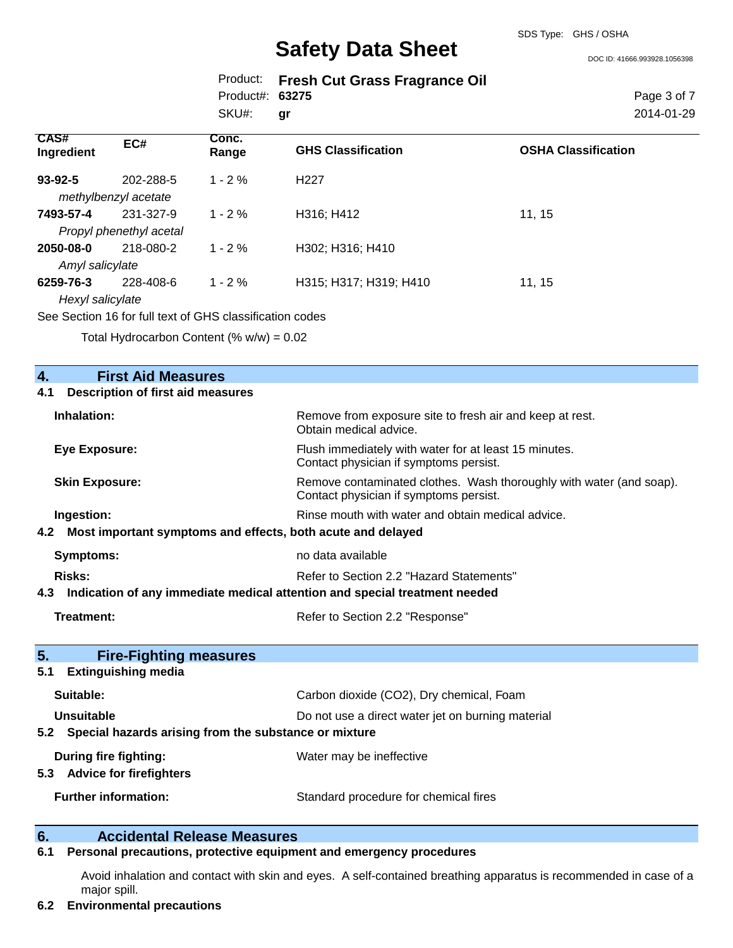DOC ID: 41666.993928.1056398

|                 | Product: Fresh Cut Grass Fragrance Oil |
|-----------------|----------------------------------------|
| Product#: 63275 |                                        |
| SKU#: gr        |                                        |

Page 3 of 7 2014-01-29

| CAS#<br>Ingredient | EC#                     | Conc.<br>Range | <b>GHS Classification</b> | <b>OSHA Classification</b> |
|--------------------|-------------------------|----------------|---------------------------|----------------------------|
| 93-92-5            | 202-288-5               | $1 - 2\%$      | H <sub>22</sub> 7         |                            |
|                    | methylbenzyl acetate    |                |                           |                            |
| 7493-57-4          | 231-327-9               | $1 - 2 \%$     | H316; H412                | 11, 15                     |
|                    | Propyl phenethyl acetal |                |                           |                            |
| 2050-08-0          | 218-080-2               | $1 - 2%$       | H302; H316; H410          |                            |
| Amyl salicylate    |                         |                |                           |                            |
| 6259-76-3          | 228-408-6               | $1 - 2\%$      | H315; H317; H319; H410    | 11, 15                     |
| Hexyl salicylate   |                         |                |                           |                            |
|                    |                         |                |                           |                            |

See Section 16 for full text of GHS classification codes

Total Hydrocarbon Content (%  $w/w$ ) = 0.02

| <b>First Aid Measures</b><br>4.                                                   |                                                                                                               |
|-----------------------------------------------------------------------------------|---------------------------------------------------------------------------------------------------------------|
| <b>Description of first aid measures</b><br>4.1                                   |                                                                                                               |
| Inhalation:                                                                       | Remove from exposure site to fresh air and keep at rest.<br>Obtain medical advice.                            |
| <b>Eye Exposure:</b>                                                              | Flush immediately with water for at least 15 minutes.<br>Contact physician if symptoms persist.               |
| <b>Skin Exposure:</b>                                                             | Remove contaminated clothes. Wash thoroughly with water (and soap).<br>Contact physician if symptoms persist. |
| Ingestion:                                                                        | Rinse mouth with water and obtain medical advice.                                                             |
| Most important symptoms and effects, both acute and delayed<br>4.2                |                                                                                                               |
| <b>Symptoms:</b>                                                                  | no data available                                                                                             |
| <b>Risks:</b>                                                                     | Refer to Section 2.2 "Hazard Statements"                                                                      |
| Indication of any immediate medical attention and special treatment needed<br>4.3 |                                                                                                               |
| Treatment:                                                                        | Refer to Section 2.2 "Response"                                                                               |
| 5.<br><b>Fire-Fighting measures</b>                                               |                                                                                                               |
| <b>Extinguishing media</b><br>5.1                                                 |                                                                                                               |
| Suitable:                                                                         | Carbon dioxide (CO2), Dry chemical, Foam                                                                      |
| <b>Unsuitable</b>                                                                 | Do not use a direct water jet on burning material                                                             |
| 5.2 Special hazards arising from the substance or mixture                         |                                                                                                               |
| During fire fighting:<br>5.3 Advice for firefighters                              | Water may be ineffective                                                                                      |
| <b>Further information:</b>                                                       | Standard procedure for chemical fires                                                                         |
|                                                                                   |                                                                                                               |

### **6. Accidental Release Measures**

### **6.1 Personal precautions, protective equipment and emergency procedures**

Avoid inhalation and contact with skin and eyes. A self-contained breathing apparatus is recommended in case of a major spill.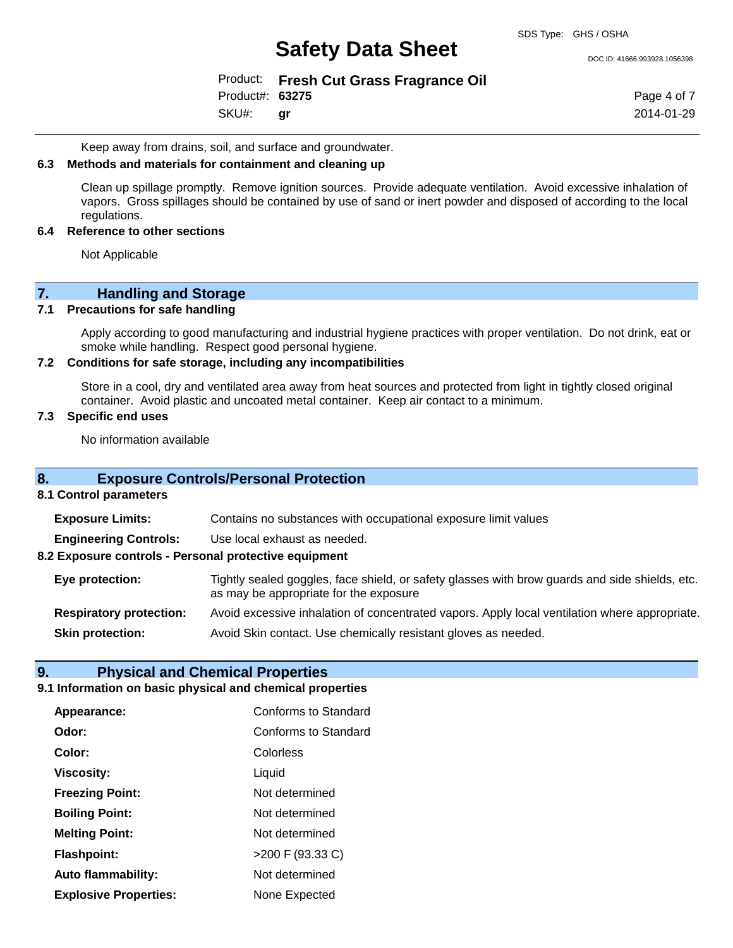DOC ID: 41666.993928.1056398

Product: **Fresh Cut Grass Fragrance Oil** Product#: **63275**

SKU#: **gr** Page 4 of 7 2014-01-29

Keep away from drains, soil, and surface and groundwater.

### **6.3 Methods and materials for containment and cleaning up**

Clean up spillage promptly. Remove ignition sources. Provide adequate ventilation. Avoid excessive inhalation of vapors. Gross spillages should be contained by use of sand or inert powder and disposed of according to the local regulations.

### **6.4 Reference to other sections**

Not Applicable

# **7.** Handling and Storage<br>**7.1** Precautions for safe handling

### **Precautions for safe handling**

Apply according to good manufacturing and industrial hygiene practices with proper ventilation. Do not drink, eat or smoke while handling. Respect good personal hygiene.

### **7.2 Conditions for safe storage, including any incompatibilities**

Store in a cool, dry and ventilated area away from heat sources and protected from light in tightly closed original container. Avoid plastic and uncoated metal container. Keep air contact to a minimum.

### **7.3 Specific end uses**

No information available

### **8. Exposure Controls/Personal Protection**

### **8.1 Control parameters**

| <b>Exposure Limits:</b>                               | Contains no substances with occupational exposure limit values                                                                           |  |
|-------------------------------------------------------|------------------------------------------------------------------------------------------------------------------------------------------|--|
| <b>Engineering Controls:</b>                          | Use local exhaust as needed.                                                                                                             |  |
| 8.2 Exposure controls - Personal protective equipment |                                                                                                                                          |  |
| Eye protection:                                       | Tightly sealed goggles, face shield, or safety glasses with brow guards and side shields, etc.<br>as may be appropriate for the exposure |  |
| <b>Respiratory protection:</b>                        | Avoid excessive inhalation of concentrated vapors. Apply local ventilation where appropriate.                                            |  |
| <b>Skin protection:</b>                               | Avoid Skin contact. Use chemically resistant gloves as needed.                                                                           |  |
|                                                       |                                                                                                                                          |  |

### **9. Physical and Chemical Properties**

### **9.1 Information on basic physical and chemical properties**

| Appearance:                  | Conforms to Standard |
|------------------------------|----------------------|
| Odor:                        | Conforms to Standard |
| Color:                       | Colorless            |
| <b>Viscosity:</b>            | Liquid               |
| <b>Freezing Point:</b>       | Not determined       |
| <b>Boiling Point:</b>        | Not determined       |
| <b>Melting Point:</b>        | Not determined       |
| <b>Flashpoint:</b>           | >200 F (93.33 C)     |
| <b>Auto flammability:</b>    | Not determined       |
| <b>Explosive Properties:</b> | None Expected        |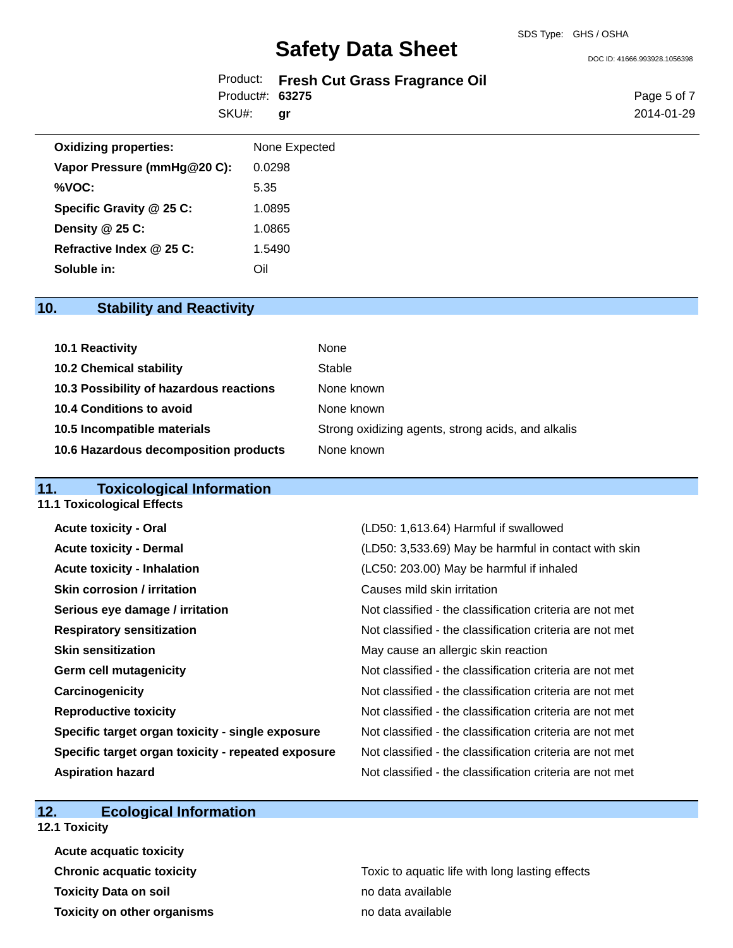DOC ID: 41666.993928.1056398

|                 | Product: Fresh Cut Grass Fragrance Oil |
|-----------------|----------------------------------------|
| Product#: 63275 |                                        |

SKU#: **gr** Page 5 of 7 2014-01-29

| <b>Oxidizing properties:</b> | None Expected |
|------------------------------|---------------|
| Vapor Pressure (mmHg@20 C):  | 0.0298        |
| %VOC:                        | 5.35          |
| Specific Gravity @ 25 C:     | 1.0895        |
| Density $@25C$ :             | 1.0865        |
| Refractive Index @ 25 C:     | 1.5490        |
| Soluble in:                  | Oil           |

## **10. Stability and Reactivity**

| 10.1 Reactivity                         | None                                               |
|-----------------------------------------|----------------------------------------------------|
| <b>10.2 Chemical stability</b>          | Stable                                             |
| 10.3 Possibility of hazardous reactions | None known                                         |
| 10.4 Conditions to avoid                | None known                                         |
| 10.5 Incompatible materials             | Strong oxidizing agents, strong acids, and alkalis |
| 10.6 Hazardous decomposition products   | None known                                         |

## **11. Toxicological Information**

| <b>11.1 Toxicological Effects</b>                  |                                                          |
|----------------------------------------------------|----------------------------------------------------------|
| <b>Acute toxicity - Oral</b>                       | (LD50: 1,613.64) Harmful if swallowed                    |
| <b>Acute toxicity - Dermal</b>                     | (LD50: 3,533.69) May be harmful in contact with skin     |
| <b>Acute toxicity - Inhalation</b>                 | (LC50: 203.00) May be harmful if inhaled                 |
| <b>Skin corrosion / irritation</b>                 | Causes mild skin irritation                              |
| Serious eye damage / irritation                    | Not classified - the classification criteria are not met |
| <b>Respiratory sensitization</b>                   | Not classified - the classification criteria are not met |
| <b>Skin sensitization</b>                          | May cause an allergic skin reaction                      |
| <b>Germ cell mutagenicity</b>                      | Not classified - the classification criteria are not met |
| Carcinogenicity                                    | Not classified - the classification criteria are not met |
| <b>Reproductive toxicity</b>                       | Not classified - the classification criteria are not met |
| Specific target organ toxicity - single exposure   | Not classified - the classification criteria are not met |
| Specific target organ toxicity - repeated exposure | Not classified - the classification criteria are not met |
| <b>Aspiration hazard</b>                           | Not classified - the classification criteria are not met |

## **12. Ecological Information**

**12.1 Toxicity**

| <b>Acute acquatic toxicity</b>     |                                                 |
|------------------------------------|-------------------------------------------------|
| <b>Chronic acquatic toxicity</b>   | Toxic to aquatic life with long lasting effects |
| <b>Toxicity Data on soil</b>       | no data available                               |
| <b>Toxicity on other organisms</b> | no data available                               |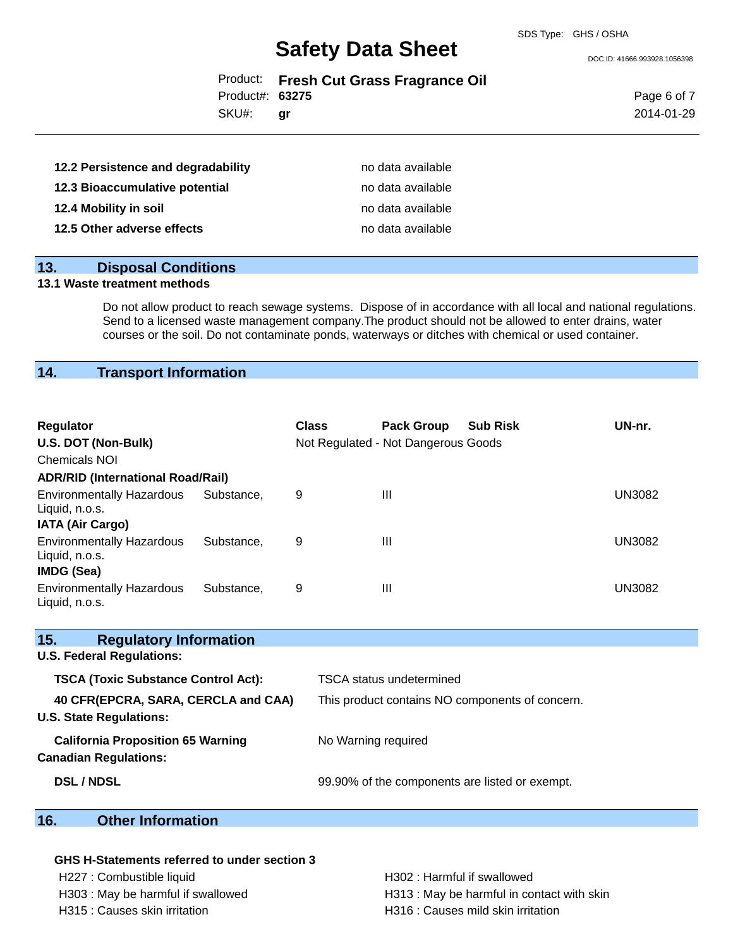DOC ID: 41666.993928.1056398

|  |  |  |  | Product: Fresh Cut Grass Fragrance Oil |  |
|--|--|--|--|----------------------------------------|--|
|--|--|--|--|----------------------------------------|--|

Product#: **63275**

SKU#: **gr** Page 6 of 7 2014-01-29

| 12.2 Persistence and degradability | no data available |
|------------------------------------|-------------------|
| 12.3 Bioaccumulative potential     | no data available |
| 12.4 Mobility in soil              | no data available |
| 12.5 Other adverse effects         | no data available |

### **13. Disposal Conditions**

### **13.1 Waste treatment methods**

Do not allow product to reach sewage systems. Dispose of in accordance with all local and national regulations. Send to a licensed waste management company.The product should not be allowed to enter drains, water courses or the soil. Do not contaminate ponds, waterways or ditches with chemical or used container.

### **14. Transport Information**

| Regulator<br>U.S. DOT (Non-Bulk)<br><b>Chemicals NOI</b><br><b>ADR/RID (International Road/Rail)</b> |            | <b>Class</b> | <b>Pack Group</b><br>Not Regulated - Not Dangerous Goods | <b>Sub Risk</b> | UN-nr. |
|------------------------------------------------------------------------------------------------------|------------|--------------|----------------------------------------------------------|-----------------|--------|
| <b>Environmentally Hazardous</b><br>Liquid, n.o.s.<br><b>IATA (Air Cargo)</b>                        | Substance. | 9            | $\mathbf{III}$                                           |                 | UN3082 |
| <b>Environmentally Hazardous</b><br>Liquid, n.o.s.<br><b>IMDG (Sea)</b>                              | Substance. | 9            | $\mathbf{III}$                                           |                 | UN3082 |
| <b>Environmentally Hazardous</b><br>Liquid, n.o.s.                                                   | Substance. | 9            | $\mathbf{III}$                                           |                 | UN3082 |

## **15. Regulatory Information U.S. Federal Regulations: TSCA (Toxic Substance Control Act):** TSCA status undetermined **40 CFR(EPCRA, SARA, CERCLA and CAA)** This product contains NO components of concern. **U.S. State Regulations: California Proposition 65 Warning No Warning required Canadian Regulations:**

**DSL / NDSL** 99.90% of the components are listed or exempt.

### **16. Other Information**

### **GHS H-Statements referred to under section 3**

### H227 : Combustible liquid **H302** : Harmful if swallowed H303 : May be harmful if swallowed H313 : May be harmful in contact with skin H315 : Causes skin irritation H316 : Causes mild skin irritation